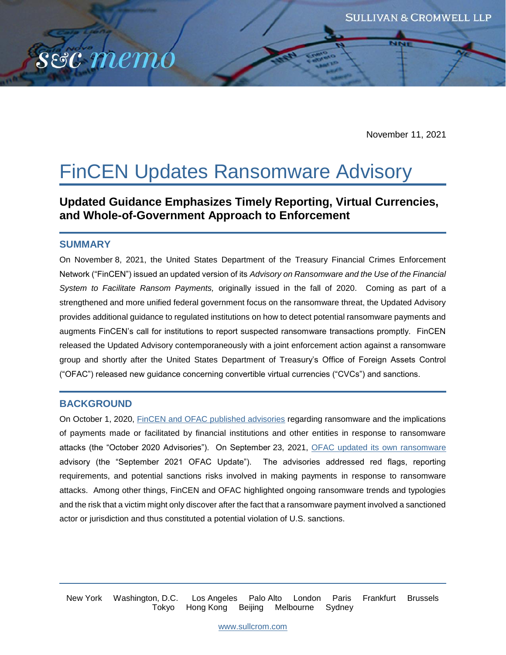

November 11, 2021

# FinCEN Updates Ransomware Advisory

**Updated Guidance Emphasizes Timely Reporting, Virtual Currencies, and Whole-of-Government Approach to Enforcement**

#### **SUMMARY**

sec memo

On November 8, 2021, the United States Department of the Treasury Financial Crimes Enforcement Network ("FinCEN") issued an updated version of its *Advisory on Ransomware and the Use of the Financial System to Facilitate Ransom Payments,* originally issued in the fall of 2020. Coming as part of a strengthened and more unified federal government focus on the ransomware threat, the Updated Advisory provides additional guidance to regulated institutions on how to detect potential ransomware payments and augments FinCEN's call for institutions to report suspected ransomware transactions promptly. FinCEN released the Updated Advisory contemporaneously with a joint enforcement action against a ransomware group and shortly after the United States Department of Treasury's Office of Foreign Assets Control ("OFAC") released new guidance concerning convertible virtual currencies ("CVCs") and sanctions.

#### **BACKGROUND**

On October 1, 2020, [FinCEN and OFAC published advisories](https://home.treasury.gov/news/press-releases/sm1142) regarding ransomware and the implications of payments made or facilitated by financial institutions and other entities in response to ransomware attacks (the "October 2020 Advisories"). On September 23, 2021, [OFAC updated its own ransomware](https://home.treasury.gov/system/files/126/ofac_ransomware_advisory.pdf) advisory (the "September 2021 OFAC Update"). The advisories addressed red flags, reporting requirements, and potential sanctions risks involved in making payments in response to ransomware attacks. Among other things, FinCEN and OFAC highlighted ongoing ransomware trends and typologies and the risk that a victim might only discover after the fact that a ransomware payment involved a sanctioned actor or jurisdiction and thus constituted a potential violation of U.S. sanctions.

New York Washington, D.C. Los Angeles Palo Alto London Paris Frankfurt Brussels Tokyo Hong Kong Beijing Melbourne Sydney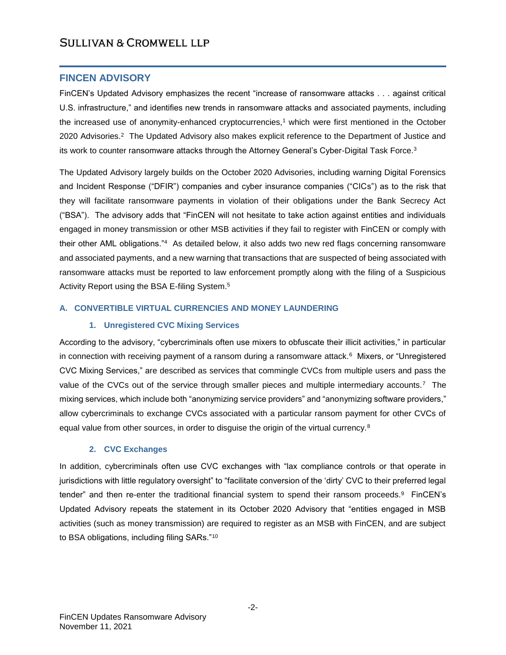### **FINCEN ADVISORY**

FinCEN's Updated Advisory emphasizes the recent "increase of ransomware attacks . . . against critical U.S. infrastructure," and identifies new trends in ransomware attacks and associated payments, including the increased use of anonymity-enhanced cryptocurrencies,<sup>1</sup> which were first mentioned in the October 2020 Advisories.<sup>2</sup> The Updated Advisory also makes explicit reference to the Department of Justice and its work to counter ransomware attacks through the Attorney General's Cyber-Digital Task Force.<sup>3</sup>

The Updated Advisory largely builds on the October 2020 Advisories, including warning Digital Forensics and Incident Response ("DFIR") companies and cyber insurance companies ("CICs") as to the risk that they will facilitate ransomware payments in violation of their obligations under the Bank Secrecy Act ("BSA"). The advisory adds that "FinCEN will not hesitate to take action against entities and individuals engaged in money transmission or other MSB activities if they fail to register with FinCEN or comply with their other AML obligations."<sup>4</sup> As detailed below, it also adds two new red flags concerning ransomware and associated payments, and a new warning that transactions that are suspected of being associated with ransomware attacks must be reported to law enforcement promptly along with the filing of a Suspicious Activity Report using the BSA E-filing System.<sup>5</sup>

#### **A. CONVERTIBLE VIRTUAL CURRENCIES AND MONEY LAUNDERING**

#### **1. Unregistered CVC Mixing Services**

According to the advisory, "cybercriminals often use mixers to obfuscate their illicit activities," in particular in connection with receiving payment of a ransom during a ransomware attack.<sup>6</sup> Mixers, or "Unregistered CVC Mixing Services," are described as services that commingle CVCs from multiple users and pass the value of the CVCs out of the service through smaller pieces and multiple intermediary accounts.<sup>7</sup> The mixing services, which include both "anonymizing service providers" and "anonymizing software providers," allow cybercriminals to exchange CVCs associated with a particular ransom payment for other CVCs of equal value from other sources, in order to disguise the origin of the virtual currency.<sup>8</sup>

#### **2. CVC Exchanges**

In addition, cybercriminals often use CVC exchanges with "lax compliance controls or that operate in jurisdictions with little regulatory oversight" to "facilitate conversion of the 'dirty' CVC to their preferred legal tender" and then re-enter the traditional financial system to spend their ransom proceeds.<sup>9</sup> FinCEN's Updated Advisory repeats the statement in its October 2020 Advisory that "entities engaged in MSB activities (such as money transmission) are required to register as an MSB with FinCEN, and are subject to BSA obligations, including filing SARs."10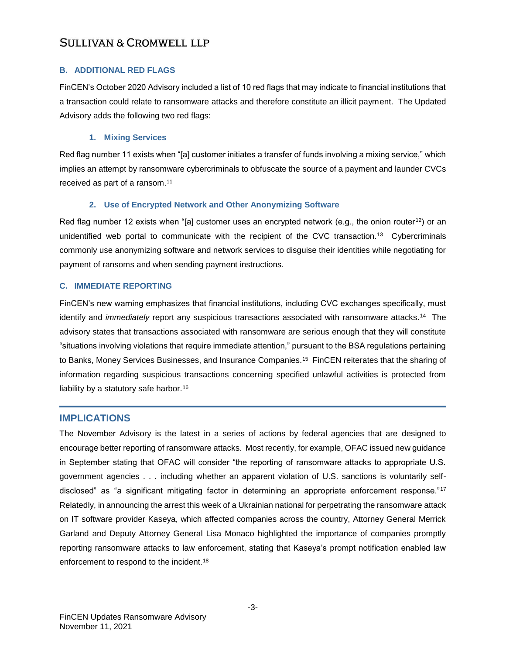#### **B. ADDITIONAL RED FLAGS**

FinCEN's October 2020 Advisory included a list of 10 red flags that may indicate to financial institutions that a transaction could relate to ransomware attacks and therefore constitute an illicit payment. The Updated Advisory adds the following two red flags:

#### **1. Mixing Services**

Red flag number 11 exists when "[a] customer initiates a transfer of funds involving a mixing service," which implies an attempt by ransomware cybercriminals to obfuscate the source of a payment and launder CVCs received as part of a ransom.<sup>11</sup>

#### **2. Use of Encrypted Network and Other Anonymizing Software**

Red flag number 12 exists when "[a] customer uses an encrypted network (e.g., the onion router<sup>12</sup>) or an unidentified web portal to communicate with the recipient of the CVC transaction.<sup>13</sup> Cybercriminals commonly use anonymizing software and network services to disguise their identities while negotiating for payment of ransoms and when sending payment instructions.

#### **C. IMMEDIATE REPORTING**

FinCEN's new warning emphasizes that financial institutions, including CVC exchanges specifically, must identify and *immediately* report any suspicious transactions associated with ransomware attacks.<sup>14</sup> The advisory states that transactions associated with ransomware are serious enough that they will constitute "situations involving violations that require immediate attention," pursuant to the BSA regulations pertaining to Banks, Money Services Businesses, and Insurance Companies.<sup>15</sup> FinCEN reiterates that the sharing of information regarding suspicious transactions concerning specified unlawful activities is protected from liability by a statutory safe harbor.<sup>16</sup>

#### **IMPLICATIONS**

The November Advisory is the latest in a series of actions by federal agencies that are designed to encourage better reporting of ransomware attacks. Most recently, for example, OFAC issued new guidance in September stating that OFAC will consider "the reporting of ransomware attacks to appropriate U.S. government agencies . . . including whether an apparent violation of U.S. sanctions is voluntarily selfdisclosed" as "a significant mitigating factor in determining an appropriate enforcement response."<sup>17</sup> Relatedly, in announcing the arrest this week of a Ukrainian national for perpetrating the ransomware attack on IT software provider Kaseya, which affected companies across the country, Attorney General Merrick Garland and Deputy Attorney General Lisa Monaco highlighted the importance of companies promptly reporting ransomware attacks to law enforcement, stating that Kaseya's prompt notification enabled law enforcement to respond to the incident.<sup>18</sup>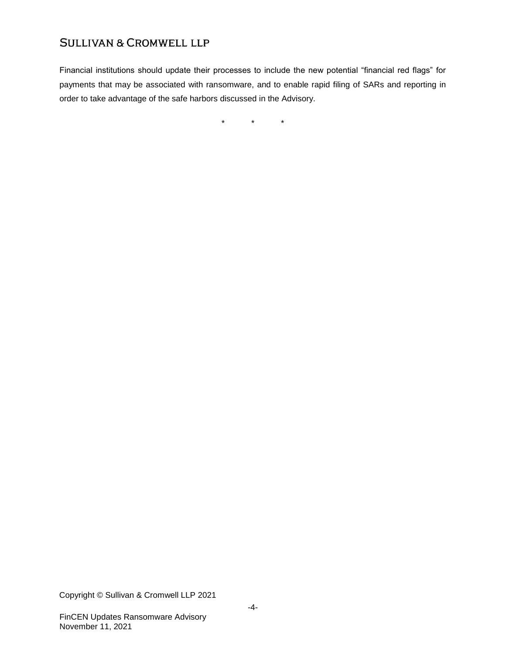Financial institutions should update their processes to include the new potential "financial red flags" for payments that may be associated with ransomware, and to enable rapid filing of SARs and reporting in order to take advantage of the safe harbors discussed in the Advisory.

\* \* \*

Copyright © Sullivan & Cromwell LLP 2021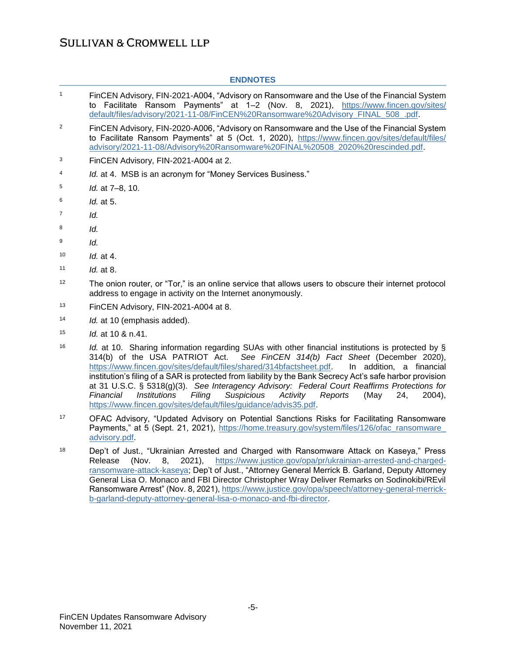| <b>ENDNOTES</b> |                                                                                                                                                                                                                                                                                                                                                                                                                                                                                                                                                                                                                                                                                                |
|-----------------|------------------------------------------------------------------------------------------------------------------------------------------------------------------------------------------------------------------------------------------------------------------------------------------------------------------------------------------------------------------------------------------------------------------------------------------------------------------------------------------------------------------------------------------------------------------------------------------------------------------------------------------------------------------------------------------------|
| $\mathbf{1}$    | FinCEN Advisory, FIN-2021-A004, "Advisory on Ransomware and the Use of the Financial System<br>to Facilitate Ransom Payments" at 1-2 (Nov. 8, 2021), https://www.fincen.gov/sites/<br>default/files/advisory/2021-11-08/FinCEN%20Ransomware%20Advisory FINAL 508 .pdf.                                                                                                                                                                                                                                                                                                                                                                                                                         |
| $\overline{2}$  | FinCEN Advisory, FIN-2020-A006, "Advisory on Ransomware and the Use of the Financial System<br>to Facilitate Ransom Payments" at 5 (Oct. 1, 2020), https://www.fincen.gov/sites/default/files/<br>advisory/2021-11-08/Advisory%20Ransomware%20FINAL%20508_2020%20rescinded.pdf.                                                                                                                                                                                                                                                                                                                                                                                                                |
| 3               | FinCEN Advisory, FIN-2021-A004 at 2.                                                                                                                                                                                                                                                                                                                                                                                                                                                                                                                                                                                                                                                           |
| 4               | Id. at 4. MSB is an acronym for "Money Services Business."                                                                                                                                                                                                                                                                                                                                                                                                                                                                                                                                                                                                                                     |
| 5               | Id. at 7-8, 10.                                                                                                                                                                                                                                                                                                                                                                                                                                                                                                                                                                                                                                                                                |
| 6               | Id. at 5.                                                                                                                                                                                                                                                                                                                                                                                                                                                                                                                                                                                                                                                                                      |
| 7               | Id.                                                                                                                                                                                                                                                                                                                                                                                                                                                                                                                                                                                                                                                                                            |
| 8               | ld.                                                                                                                                                                                                                                                                                                                                                                                                                                                                                                                                                                                                                                                                                            |
| 9               | Id.                                                                                                                                                                                                                                                                                                                                                                                                                                                                                                                                                                                                                                                                                            |
| 10              | Id. at 4.                                                                                                                                                                                                                                                                                                                                                                                                                                                                                                                                                                                                                                                                                      |
| 11              | Id. at 8.                                                                                                                                                                                                                                                                                                                                                                                                                                                                                                                                                                                                                                                                                      |
| 12              | The onion router, or "Tor," is an online service that allows users to obscure their internet protocol<br>address to engage in activity on the Internet anonymously.                                                                                                                                                                                                                                                                                                                                                                                                                                                                                                                            |
| 13              | FinCEN Advisory, FIN-2021-A004 at 8.                                                                                                                                                                                                                                                                                                                                                                                                                                                                                                                                                                                                                                                           |
| 14              | Id. at 10 (emphasis added).                                                                                                                                                                                                                                                                                                                                                                                                                                                                                                                                                                                                                                                                    |
| 15              | Id. at 10 & n.41.                                                                                                                                                                                                                                                                                                                                                                                                                                                                                                                                                                                                                                                                              |
| 16              | <i>Id.</i> at 10. Sharing information regarding SUAs with other financial institutions is protected by §<br>314(b) of the USA PATRIOT Act.<br>See FinCEN 314(b) Fact Sheet (December 2020),<br>https://www.fincen.gov/sites/default/files/shared/314bfactsheet.pdf.<br>In addition, a financial<br>institution's filing of a SAR is protected from liability by the Bank Secrecy Act's safe harbor provision<br>at 31 U.S.C. § 5318(g)(3). See Interagency Advisory: Federal Court Reaffirms Protections for<br>Suspicious<br>Financial<br><b>Institutions</b><br>Filing<br>Activity<br>Reports<br>(May<br>24,<br>$2004$ ,<br>https://www.fincen.gov/sites/default/files/guidance/advis35.pdf. |
| 17              | OFAC Advisory, "Updated Advisory on Potential Sanctions Risks for Facilitating Ransomware<br>Payments," at 5 (Sept. 21, 2021), https://home.treasury.gov/system/files/126/ofac ransomware<br>advisory.pdf.                                                                                                                                                                                                                                                                                                                                                                                                                                                                                     |
| 18              | Dep't of Just "Ukrainian Arrested and Charged with Ransomware Attack on Kaseva." Press                                                                                                                                                                                                                                                                                                                                                                                                                                                                                                                                                                                                         |

<sup>18</sup> Dep't of Just., "Ukrainian Arrested and Charged with Ransomware Attack on Kaseya," Press Release (Nov. 8, 2021), [https://www.justice.gov/opa/pr/ukrainian-arrested-and-charged](https://www.justice.gov/opa/pr/ukrainian-arrested-and-charged-ransomware-attack-kaseya)[ransomware-attack-kaseya;](https://www.justice.gov/opa/pr/ukrainian-arrested-and-charged-ransomware-attack-kaseya) Dep't of Just., "Attorney General Merrick B. Garland, Deputy Attorney General Lisa O. Monaco and FBI Director Christopher Wray Deliver Remarks on Sodinokibi/REvil Ransomware Arrest" (Nov. 8, 2021), [https://www.justice.gov/opa/speech/attorney-general-merrick](https://www.justice.gov/opa/speech/attorney-general-merrick-b-garland-deputy-attorney-general-lisa-o-monaco-and-fbi-director)[b-garland-deputy-attorney-general-lisa-o-monaco-and-fbi-director.](https://www.justice.gov/opa/speech/attorney-general-merrick-b-garland-deputy-attorney-general-lisa-o-monaco-and-fbi-director)